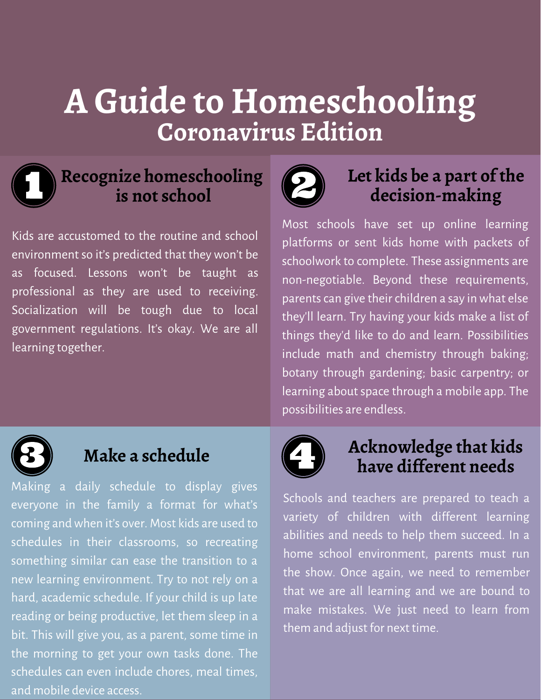## **A Guide to Homeschooling Coronavirus Edition**



## **Recognize homeschooling is not school**

Kids are accustomed to the routine and school environment so it's predicted that they won't be as focused. Lessons won't be taught as professional as they are used to receiving. Socialization will be tough due to local government regulations. It's okay. We are all learning together.



### **Let kids be a part of the decision-making**

Most schools have set up online learning platforms or sent kids home with packets of schoolwork to complete. These assignments are non-negotiable. Beyond these requirements, parents can give their children a say in what else they'll learn. Try having your kids make a list of things they'd like to do and learn. Possibilities include math and chemistry through baking; botany through gardening; basic carpentry; or learning about space through a mobile app. The possibilities are endless.



## **Make a schedule**

Making a daily schedule to display gives everyone in the family a format for what's coming and when it's over. Most kids are used to schedules in their classrooms, so recreating something similar can ease the transition to a new learning environment. Try to not rely on a hard, academic schedule. If your child is up late reading or being productive, let them sleep in a bit. This will give you, as a parent, some time in the morning to get your own tasks done. The schedules can even include chores, meal times, and mobile device access.



### **Acknowledge that kids have different needs**

Schools and teachers are prepared to teach a variety of children with different learning abilities and needs to help them succeed. In a home school environment, parents must run the show. Once again, we need to remember that we are all learning and we are bound to make mistakes. We just need to learn from them and adjust for next time.